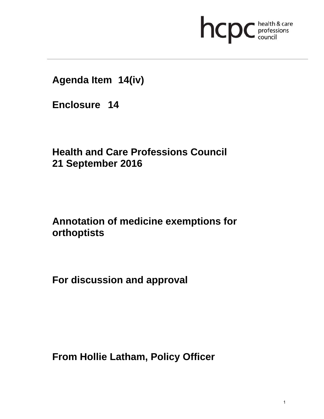

**Agenda Item 14(iv)** 

**Enclosure 14**

**Health and Care Professions Council 21 September 2016**

**Annotation of medicine exemptions for orthoptists** 

**For discussion and approval** 

**From Hollie Latham, Policy Officer**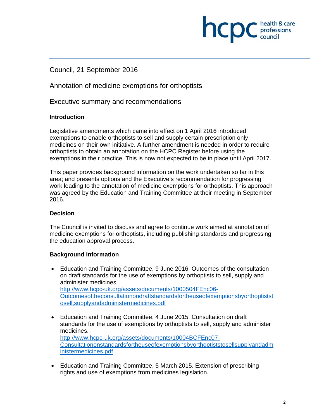# Council, 21 September 2016

Annotation of medicine exemptions for orthoptists

Executive summary and recommendations

#### **Introduction**

Legislative amendments which came into effect on 1 April 2016 introduced exemptions to enable orthoptists to sell and supply certain prescription only medicines on their own initiative. A further amendment is needed in order to require orthoptists to obtain an annotation on the HCPC Register before using the exemptions in their practice. This is now not expected to be in place until April 2017.

This paper provides background information on the work undertaken so far in this area; and presents options and the Executive's recommendation for progressing work leading to the annotation of medicine exemptions for orthoptists. This approach was agreed by the Education and Training Committee at their meeting in September 2016.

# **Decision**

The Council is invited to discuss and agree to continue work aimed at annotation of medicine exemptions for orthoptists, including publishing standards and progressing the education approval process.

# **Background information**

- Education and Training Committee, 9 June 2016. Outcomes of the consultation on draft standards for the use of exemptions by orthoptists to sell, supply and administer medicines. http://www.hcpc-uk.org/assets/documents/1000504FEnc06- Outcomesoftheconsultationondraftstandardsfortheuseofexemptionsbyorthoptistst osell,supplyandadministermedicines.pdf
- Education and Training Committee, 4 June 2015. Consultation on draft standards for the use of exemptions by orthoptists to sell, supply and administer medicines. http://www.hcpc-uk.org/assets/documents/10004BCFEnc07- Consultationonstandardsfortheuseofexemptionsbyorthoptiststosellsupplyandadm inistermedicines.pdf
- Education and Training Committee, 5 March 2015. Extension of prescribing rights and use of exemptions from medicines legislation.

**INCDC** health & care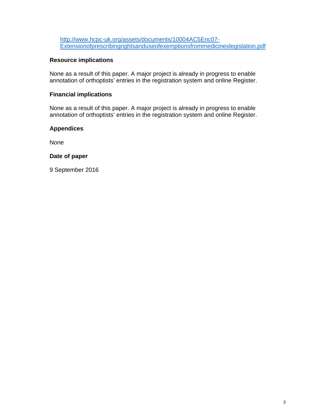http://www.hcpc-uk.org/assets/documents/10004AC5Enc07- Extensionofprescribingrightsanduseofexemptionsfrommedicineslegislation.pdf

#### **Resource implications**

None as a result of this paper. A major project is already in progress to enable annotation of orthoptists' entries in the registration system and online Register.

#### **Financial implications**

None as a result of this paper. A major project is already in progress to enable annotation of orthoptists' entries in the registration system and online Register.

#### **Appendices**

None

#### **Date of paper**

9 September 2016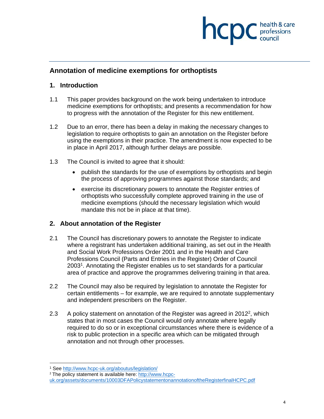

# **Annotation of medicine exemptions for orthoptists**

#### **1. Introduction**

- 1.1 This paper provides background on the work being undertaken to introduce medicine exemptions for orthoptists; and presents a recommendation for how to progress with the annotation of the Register for this new entitlement.
- 1.2 Due to an error, there has been a delay in making the necessary changes to legislation to require orthoptists to gain an annotation on the Register before using the exemptions in their practice. The amendment is now expected to be in place in April 2017, although further delays are possible.
- 1.3 The Council is invited to agree that it should:
	- publish the standards for the use of exemptions by orthoptists and begin the process of approving programmes against those standards; and
	- exercise its discretionary powers to annotate the Register entries of orthoptists who successfully complete approved training in the use of medicine exemptions (should the necessary legislation which would mandate this not be in place at that time).

# **2. About annotation of the Register**

- 2.1 The Council has discretionary powers to annotate the Register to indicate where a registrant has undertaken additional training, as set out in the Health and Social Work Professions Order 2001 and in the Health and Care Professions Council (Parts and Entries in the Register) Order of Council 20031. Annotating the Register enables us to set standards for a particular area of practice and approve the programmes delivering training in that area.
- 2.2 The Council may also be required by legislation to annotate the Register for certain entitlements – for example, we are required to annotate supplementary and independent prescribers on the Register.
- 2.3 A policy statement on annotation of the Register was agreed in 2012<sup>2</sup>, which states that in most cases the Council would only annotate where legally required to do so or in exceptional circumstances where there is evidence of a risk to public protection in a specific area which can be mitigated through annotation and not through other processes.

 1 See http://www.hcpc-uk.org/aboutus/legislation/

<sup>2</sup> The policy statement is available here: http://www.hcpc-

uk.org/assets/documents/10003DFAPolicystatementonannotationoftheRegisterfinalHCPC.pdf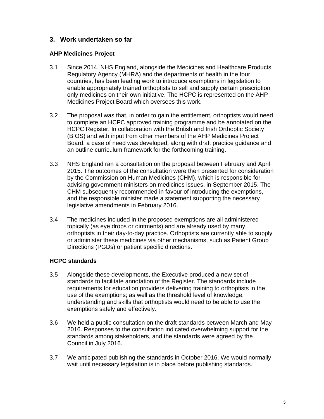# **3. Work undertaken so far**

#### **AHP Medicines Project**

- 3.1 Since 2014, NHS England, alongside the Medicines and Healthcare Products Regulatory Agency (MHRA) and the departments of health in the four countries, has been leading work to introduce exemptions in legislation to enable appropriately trained orthoptists to sell and supply certain prescription only medicines on their own initiative. The HCPC is represented on the AHP Medicines Project Board which oversees this work.
- 3.2 The proposal was that, in order to gain the entitlement, orthoptists would need to complete an HCPC approved training programme and be annotated on the HCPC Register. In collaboration with the British and Irish Orthoptic Society (BIOS) and with input from other members of the AHP Medicines Project Board, a case of need was developed, along with draft practice guidance and an outline curriculum framework for the forthcoming training.
- 3.3 NHS England ran a consultation on the proposal between February and April 2015. The outcomes of the consultation were then presented for consideration by the Commission on Human Medicines (CHM), which is responsible for advising government ministers on medicines issues, in September 2015. The CHM subsequently recommended in favour of introducing the exemptions, and the responsible minister made a statement supporting the necessary legislative amendments in February 2016.
- 3.4 The medicines included in the proposed exemptions are all administered topically (as eye drops or ointments) and are already used by many orthoptists in their day-to-day practice. Orthoptists are currently able to supply or administer these medicines via other mechanisms, such as Patient Group Directions (PGDs) or patient specific directions.

# **HCPC standards**

- 3.5 Alongside these developments, the Executive produced a new set of standards to facilitate annotation of the Register. The standards include requirements for education providers delivering training to orthoptists in the use of the exemptions; as well as the threshold level of knowledge, understanding and skills that orthoptists would need to be able to use the exemptions safely and effectively.
- 3.6 We held a public consultation on the draft standards between March and May 2016. Responses to the consultation indicated overwhelming support for the standards among stakeholders, and the standards were agreed by the Council in July 2016.
- 3.7 We anticipated publishing the standards in October 2016. We would normally wait until necessary legislation is in place before publishing standards.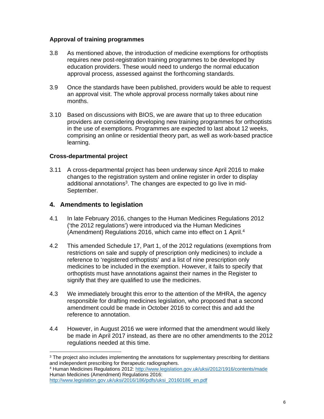#### **Approval of training programmes**

- 3.8 As mentioned above, the introduction of medicine exemptions for orthoptists requires new post-registration training programmes to be developed by education providers. These would need to undergo the normal education approval process, assessed against the forthcoming standards.
- 3.9 Once the standards have been published, providers would be able to request an approval visit. The whole approval process normally takes about nine months.
- 3.10 Based on discussions with BIOS, we are aware that up to three education providers are considering developing new training programmes for orthoptists in the use of exemptions. Programmes are expected to last about 12 weeks, comprising an online or residential theory part, as well as work-based practice learning.

#### **Cross-departmental project**

3.11 A cross-departmental project has been underway since April 2016 to make changes to the registration system and online register in order to display additional annotations<sup>3</sup>. The changes are expected to go live in mid-September.

#### **4. Amendments to legislation**

- 4.1 In late February 2016, changes to the Human Medicines Regulations 2012 ('the 2012 regulations') were introduced via the Human Medicines (Amendment) Regulations 2016, which came into effect on 1 April.4
- 4.2 This amended Schedule 17, Part 1, of the 2012 regulations (exemptions from restrictions on sale and supply of prescription only medicines) to include a reference to 'registered orthoptists' and a list of nine prescription only medicines to be included in the exemption. However, it fails to specify that orthoptists must have annotations against their names in the Register to signify that they are qualified to use the medicines.
- 4.3 We immediately brought this error to the attention of the MHRA, the agency responsible for drafting medicines legislation, who proposed that a second amendment could be made in October 2016 to correct this and add the reference to annotation.
- 4.4 However, in August 2016 we were informed that the amendment would likely be made in April 2017 instead, as there are no other amendments to the 2012 regulations needed at this time.

<sup>&</sup>lt;sup>3</sup> The project also includes implementing the annotations for supplementary prescribing for dietitians and independent prescribing for therapeutic radiographers.

<sup>4</sup> Human Medicines Regulations 2012: http://www.legislation.gov.uk/uksi/2012/1916/contents/made Human Medicines (Amendment) Regulations 2016: http://www.legislation.gov.uk/uksi/2016/186/pdfs/uksi\_20160186\_en.pdf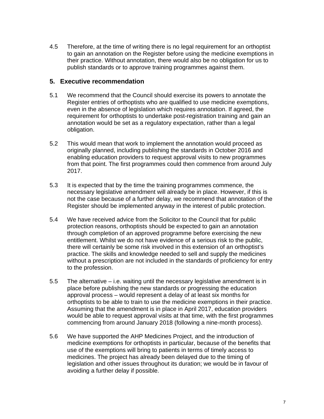4.5 Therefore, at the time of writing there is no legal requirement for an orthoptist to gain an annotation on the Register before using the medicine exemptions in their practice. Without annotation, there would also be no obligation for us to publish standards or to approve training programmes against them.

#### **5. Executive recommendation**

- 5.1 We recommend that the Council should exercise its powers to annotate the Register entries of orthoptists who are qualified to use medicine exemptions, even in the absence of legislation which requires annotation. If agreed, the requirement for orthoptists to undertake post-registration training and gain an annotation would be set as a regulatory expectation, rather than a legal obligation.
- 5.2 This would mean that work to implement the annotation would proceed as originally planned, including publishing the standards in October 2016 and enabling education providers to request approval visits to new programmes from that point. The first programmes could then commence from around July 2017.
- 5.3 It is expected that by the time the training programmes commence, the necessary legislative amendment will already be in place. However, if this is not the case because of a further delay, we recommend that annotation of the Register should be implemented anyway in the interest of public protection.
- 5.4 We have received advice from the Solicitor to the Council that for public protection reasons, orthoptists should be expected to gain an annotation through completion of an approved programme before exercising the new entitlement. Whilst we do not have evidence of a serious risk to the public, there will certainly be some risk involved in this extension of an orthoptist's practice. The skills and knowledge needed to sell and supply the medicines without a prescription are not included in the standards of proficiency for entry to the profession.
- 5.5 The alternative i.e. waiting until the necessary legislative amendment is in place before publishing the new standards or progressing the education approval process – would represent a delay of at least six months for orthoptists to be able to train to use the medicine exemptions in their practice. Assuming that the amendment is in place in April 2017, education providers would be able to request approval visits at that time, with the first programmes commencing from around January 2018 (following a nine-month process).
- 5.6 We have supported the AHP Medicines Project, and the introduction of medicine exemptions for orthoptists in particular, because of the benefits that use of the exemptions will bring to patients in terms of timely access to medicines. The project has already been delayed due to the timing of legislation and other issues throughout its duration; we would be in favour of avoiding a further delay if possible.